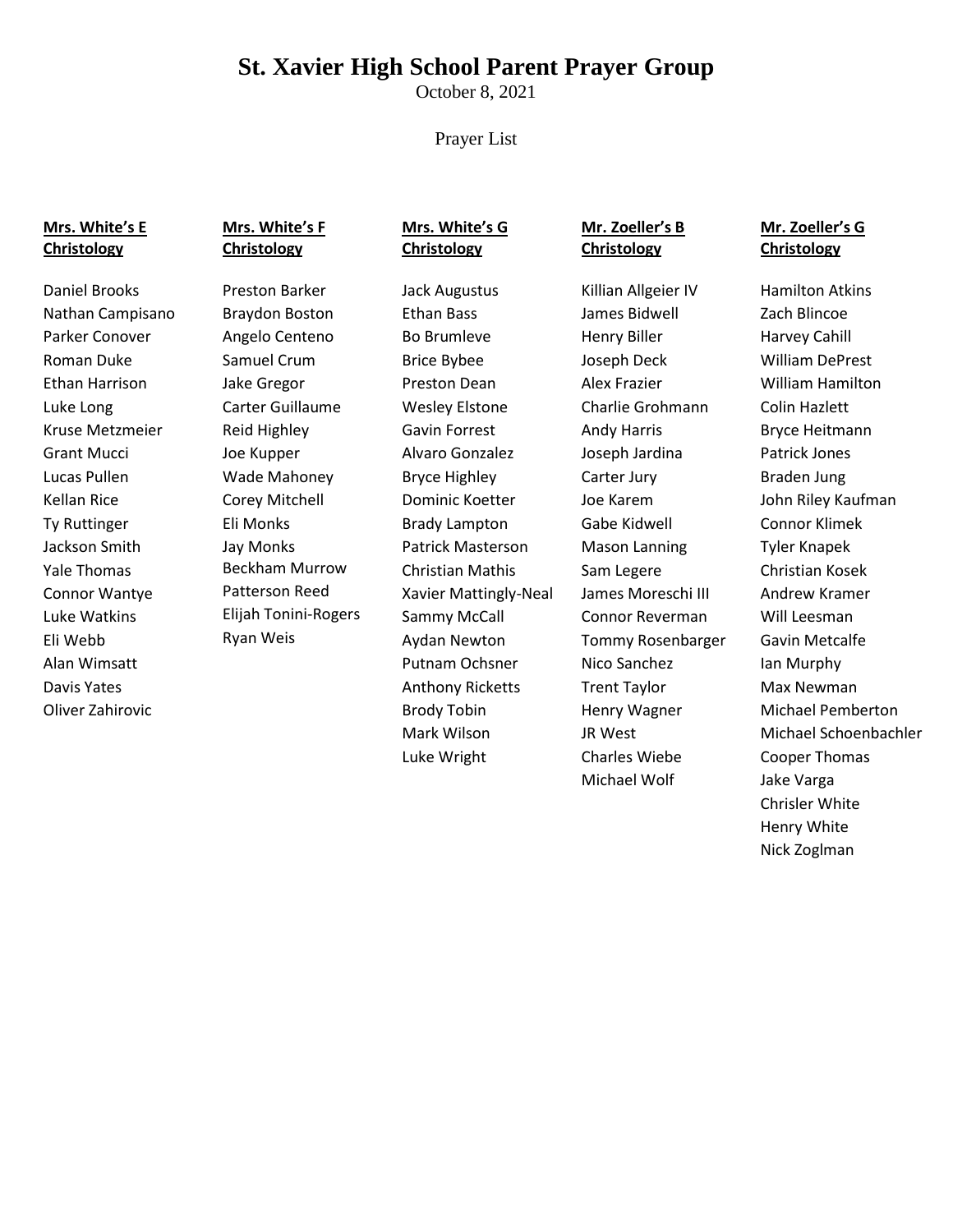# **St. Xavier High School Parent Prayer Group**

October 8, 2021

#### Prayer List

#### **Mrs. White's E Christology**

Daniel Brooks Nathan Campisano Parker Conover Roman Duke Ethan Harrison Luke Long Kruse Metzmeier Grant Mucci Lucas Pullen Kellan Rice Ty Ruttinger Jackson Smith Yale Thomas Connor Wantye Luke Watkins Eli Webb Alan Wimsatt Davis Yates Oliver Zahirovic

# **Mrs. White's F Christology**

Preston Barker Braydon Boston Angelo Centeno Samuel Crum Jake Gregor Carter Guillaume Reid Highley Joe Kupper Wade Mahoney Corey Mitchell Eli Monks Jay Monks Beckham Murrow Patterson Reed Elijah Tonini-Rogers Ryan Weis

#### **Mrs. White's G Christology**

Jack Augustus Ethan Bass Bo Brumleve Brice Bybee Preston Dean Wesley Elstone Gavin Forrest Alvaro Gonzalez Bryce Highley Dominic Koetter Brady Lampton Patrick Masterson Christian Mathis Xavier Mattingly-Neal Sammy McCall Aydan Newton Putnam Ochsner Anthony Ricketts Brody Tobin Mark Wilson Luke Wright

# **Mr. Zoeller's B Christology**

Killian Allgeier IV James Bidwell Henry Biller Joseph Deck Alex Frazier Charlie Grohmann Andy Harris Joseph Jardina Carter Jury Joe Karem Gabe Kidwell Mason Lanning Sam Legere James Moreschi III Connor Reverman Tommy Rosenbarger Nico Sanchez Trent Taylor Henry Wagner JR West Charles Wiebe Michael Wolf

### **Mr. Zoeller's G Christology**

Hamilton Atkins Zach Blincoe Harvey Cahill William DePrest William Hamilton Colin Hazlett Bryce Heitmann Patrick Jones Braden Jung John Riley Kaufman Connor Klimek Tyler Knapek Christian Kosek Andrew Kramer Will Leesman Gavin Metcalfe Ian Murphy Max Newman Michael Pemberton Michael Schoenbachler Cooper Thomas Jake Varga Chrisler White Henry White Nick Zoglman